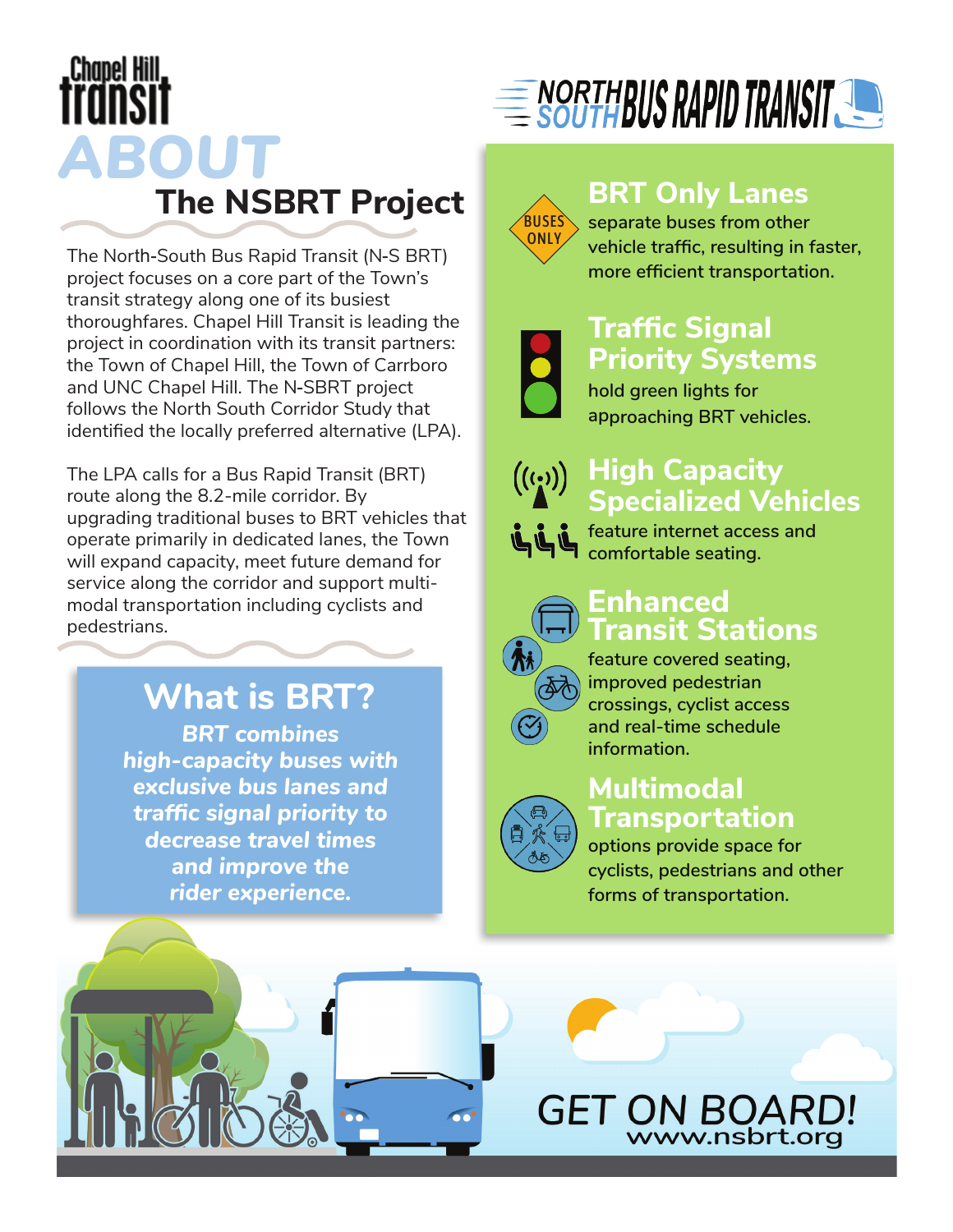# **Chapel Hill** *ABOUT* **The NSBRT Project**

The North-South Bus Rapid Transit (N-S BRT) project focuses on a core part of the Town's transit strategy along one of its busiest thoroughfares. Chapel Hill Transit is leading the project in coordination with its transit partners: the Town of Chapel Hill, the Town of Carrboro and UNC Chapel Hill. The N-SBRT project follows the North South Corridor Study that identified the locally preferred alternative (LPA).

The LPA calls for a Bus Rapid Transit (BRT) route along the 8.2-mile corridor. By upgrading traditional buses to BRT vehicles that operate primarily in dedicated lanes, the Town will expand capacity, meet future demand for service along the corridor and support multimodal transportation including cyclists and pedestrians.

### **What is BRT?**

*BRT combines high-capacity buses with exclusive bus lanes and traffic signal priority to decrease travel times and improve the rider experience.*





#### **BRT Only Lanes**

**separate buses from other vehicle traffic, resulting in faster, more efficient transportation.**

### **Traffic Signal Priority Systems**

**hold green lights for approaching BRT vehicles.**



#### **High Capacity Specialized Vehicles**

**feature internet access and comfortable seating.**

#### **Enhanced Transit Stations**



**feature covered seating, improved pedestrian crossings, cyclist access and real-time schedule information.**

#### **Multimodal Transportation**

**options provide space for cyclists, pedestrians and other forms of transportation.**